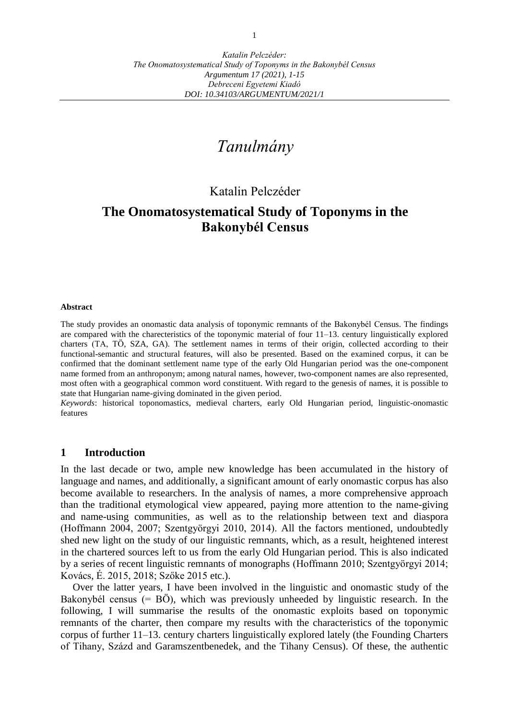# *Tanulmány*

## Katalin Pelczéder

## **The Onomatosystematical Study of Toponyms in the Bakonybél Census**

#### **Abstract**

The study provides an onomastic data analysis of toponymic remnants of the Bakonybél Census. The findings are compared with the charecteristics of the toponymic material of four 11–13. century linguistically explored charters (TA, TÖ, SZA, GA). The settlement names in terms of their origin, collected according to their functional-semantic and structural features, will also be presented. Based on the examined corpus, it can be confirmed that the dominant settlement name type of the early Old Hungarian period was the one-component name formed from an anthroponym; among natural names, however, two-component names are also represented, most often with a geographical common word constituent. With regard to the genesis of names, it is possible to state that Hungarian name-giving dominated in the given period.

*Keywords*: historical toponomastics, medieval charters, early Old Hungarian period, linguistic-onomastic features

#### **1 Introduction**

In the last decade or two, ample new knowledge has been accumulated in the history of language and names, and additionally, a significant amount of early onomastic corpus has also become available to researchers. In the analysis of names, a more comprehensive approach than the traditional etymological view appeared, paying more attention to the name-giving and name-using communities, as well as to the relationship between text and diaspora (Hoffmann 2004, 2007; Szentgyörgyi 2010, 2014). All the factors mentioned, undoubtedly shed new light on the study of our linguistic remnants, which, as a result, heightened interest in the chartered sources left to us from the early Old Hungarian period. This is also indicated by a series of recent linguistic remnants of monographs (Hoffmann 2010; Szentgyörgyi 2014; Kovács, É. 2015, 2018; Szőke 2015 etc.).

Over the latter years, I have been involved in the linguistic and onomastic study of the Bakonybél census (= BÖ), which was previously unheeded by linguistic research. In the following, I will summarise the results of the onomastic exploits based on toponymic remnants of the charter, then compare my results with the characteristics of the toponymic corpus of further 11–13. century charters linguistically explored lately (the Founding Charters of Tihany, Százd and Garamszentbenedek, and the Tihany Census). Of these, the authentic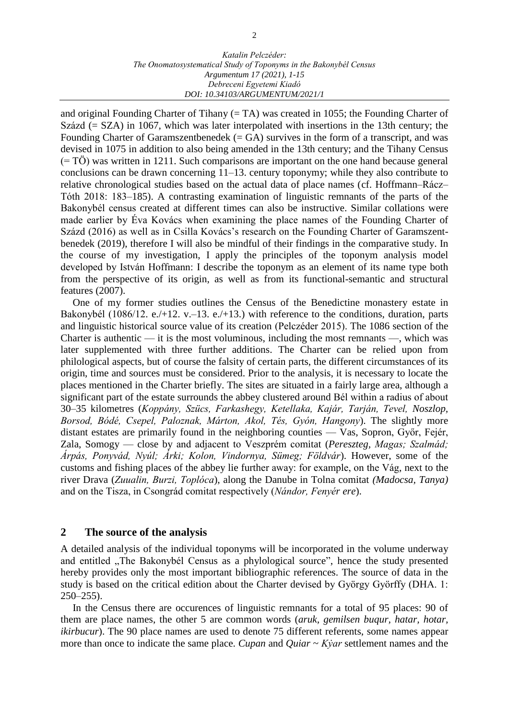and original Founding Charter of Tihany (= TA) was created in 1055; the Founding Charter of Százd (= SZA) in 1067, which was later interpolated with insertions in the 13th century; the Founding Charter of Garamszentbenedek  $(= GA)$  survives in the form of a transcript, and was devised in 1075 in addition to also being amended in the 13th century; and the Tihany Census (= TÖ) was written in 1211. Such comparisons are important on the one hand because general conclusions can be drawn concerning 11–13. century toponymy; while they also contribute to relative chronological studies based on the actual data of place names (cf. Hoffmann–Rácz– Tóth 2018: 183–185). A contrasting examination of linguistic remnants of the parts of the Bakonybél census created at different times can also be instructive. Similar collations were made earlier by Éva Kovács when examining the place names of the Founding Charter of Százd (2016) as well as in Csilla Kovács's research on the Founding Charter of Garamszentbenedek (2019), therefore I will also be mindful of their findings in the comparative study. In the course of my investigation, I apply the principles of the toponym analysis model developed by István Hoffmann: I describe the toponym as an element of its name type both from the perspective of its origin, as well as from its functional-semantic and structural features (2007).

One of my former studies outlines the Census of the Benedictine monastery estate in Bakonybél (1086/12. e./+12. v.–13. e./+13.) with reference to the conditions, duration, parts and linguistic historical source value of its creation (Pelczéder 2015). The 1086 section of the Charter is authentic — it is the most voluminous, including the most remnants —, which was later supplemented with three further additions. The Charter can be relied upon from philological aspects, but of course the falsity of certain parts, the different circumstances of its origin, time and sources must be considered. Prior to the analysis, it is necessary to locate the places mentioned in the Charter briefly. The sites are situated in a fairly large area, although a significant part of the estate surrounds the abbey clustered around Bél within a radius of about 30–35 kilometres (*Koppány, Szücs, Farkashegy, Ketellaka, Kajár, Tarján, Tevel, Noszlop, Borsod, Bódé, Csepel, Paloznak, Márton, Akol, Tés, Gyón, Hangony*). The slightly more distant estates are primarily found in the neighboring counties — Vas, Sopron, Győr, Fejér, Zala, Somogy — close by and adjacent to Veszprém comitat (*Pereszteg, Magas; Szalmád; Árpás, Ponyvád, Nyúl; Árki; Kolon, Vindornya, Sümeg; Földvár*). However, some of the customs and fishing places of the abbey lie further away: for example, on the Vág, next to the river Drava (*Zuualin, Burzi, Toplóca*), along the Danube in Tolna comitat *(Madocsa, Tanya)* and on the Tisza, in Csongrád comitat respectively (*Nándor, Fenyér ere*).

#### **2 The source of the analysis**

A detailed analysis of the individual toponyms will be incorporated in the volume underway and entitled "The Bakonybél Census as a phylological source", hence the study presented hereby provides only the most important bibliographic references. The source of data in the study is based on the critical edition about the Charter devised by György Györffy (DHA. 1: 250–255).

In the Census there are occurences of linguistic remnants for a total of 95 places: 90 of them are place names, the other 5 are common words (*aruk, gemilsen buqur, hatar, hotar, ikirbucur*). The 90 place names are used to denote 75 different referents, some names appear more than once to indicate the same place. *Cupan* and *Quiar* ~ *Kẏar* settlement names and the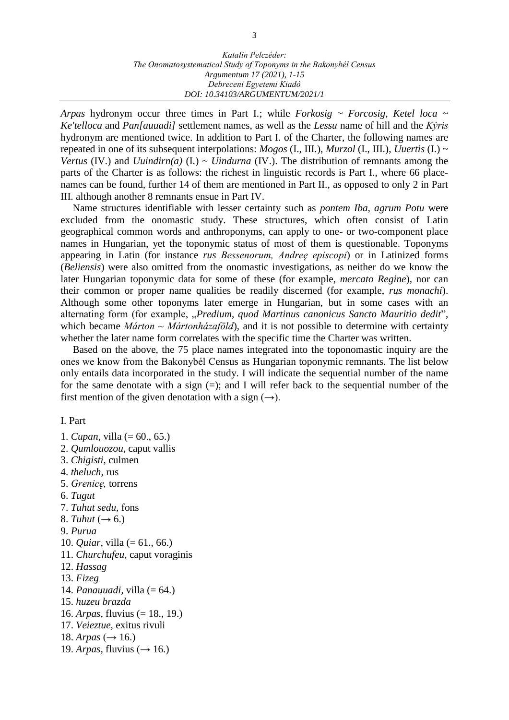*Arpas* hydronym occur three times in Part I.; while *Forkosig* ~ *Forcosig*, *Ketel loca* ~ *Ke'telloca* and *Pan[auuadi]* settlement names, as well as the *Lessu* name of hill and the *Kẏris* hydronym are mentioned twice. In addition to Part I. of the Charter, the following names are repeated in one of its subsequent interpolations: *Mogos* (I., III.), *Murzol* (I., III.), *Uuertis* (I.) ~ *Vertus* (IV.) and *Uuindirn(a)* (I.)  $\sim$  *Uindurna* (IV.). The distribution of remnants among the parts of the Charter is as follows: the richest in linguistic records is Part I., where 66 placenames can be found, further 14 of them are mentioned in Part II., as opposed to only 2 in Part III. although another 8 remnants ensue in Part IV.

Name structures identifiable with lesser certainty such as *pontem Iba, agrum Potu* were excluded from the onomastic study. These structures, which often consist of Latin geographical common words and anthroponyms, can apply to one- or two-component place names in Hungarian, yet the toponymic status of most of them is questionable. Toponyms appearing in Latin (for instance *rus Bessenorum, Andreę episcopi*) or in Latinized forms (*Beliensis*) were also omitted from the onomastic investigations, as neither do we know the later Hungarian toponymic data for some of these (for example, *mercato Regine*), nor can their common or proper name qualities be readily discerned (for example, *rus monachi*). Although some other toponyms later emerge in Hungarian, but in some cases with an alternating form (for example, "*Predium, quod Martinus canonicus Sancto Mauritio dedit*", which became *Márton ~ Mártonházaföld*), and it is not possible to determine with certainty whether the later name form correlates with the specific time the Charter was written.

Based on the above, the 75 place names integrated into the toponomastic inquiry are the ones we know from the Bakonybél Census as Hungarian toponymic remnants. The list below only entails data incorporated in the study. I will indicate the sequential number of the name for the same denotate with a sign  $(=)$ ; and I will refer back to the sequential number of the first mention of the given denotation with a sign  $(\rightarrow)$ .

I. Part

- 1. *Cupan,* villa (= 60., 65.)
- 2. *Qumlouozou,* caput vallis
- 3. *Chigisti,* culmen
- 4. *theluch,* rus
- 5. *Grenicę,* torrens
- 6. *Tugut*
- 7. *Tuhut sedu,* fons
- 8. *Tuhut*  $(\rightarrow 6.)$
- 9. *Purua*
- 10. *Quiar,* villa (= 61., 66.)
- 11. *Churchufeu,* caput voraginis
- 12. *Hassag*
- 13. *Fizeg*
- 14. *Panauuadi,* villa (= 64.)
- 15. *huzeu brazda*
- 16. *Arpas,* fluvius (= 18., 19.)
- 17. *Veieztue,* exitus rivuli
- 18. *Arpas* (→ 16.)
- 19. *Arpas*, fluvius ( $\rightarrow$  16.)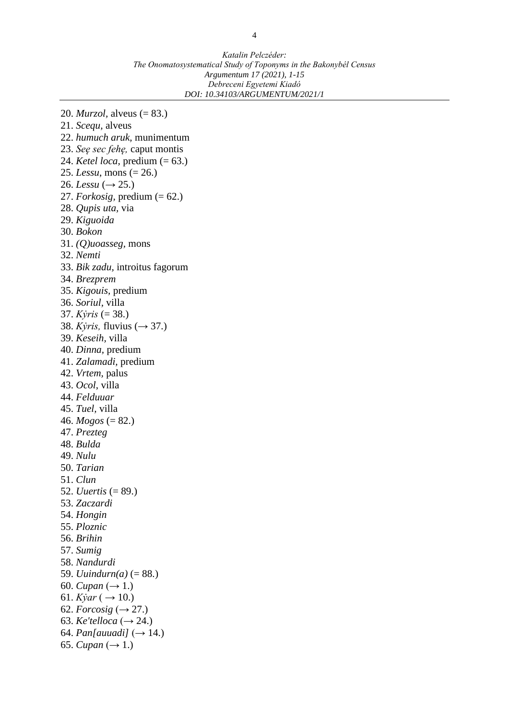*Katalin Pelczéder: The Onomatosystematical Study of Toponyms in the Bakonybél Census Argumentum 17 (2021), 1-15 Debreceni Egyetemi Kiadó DOI: 10.34103/ARGUMENTUM/2021/1*

20. *Murzol,* alveus (= 83.) 21. *Scequ,* alveus 22. *humuch aruk,* munimentum 23. *Seę sec fehę,* caput montis 24. *Ketel loca,* predium (= 63.) 25. *Lessu*, mons (= 26.) 26. *Lessu* ( $\rightarrow$  25.) 27. *Forkosig,* predium (= 62.) 28. *Qupis uta,* via 29. *Kiguoida* 30. *Bokon* 31. *(Q)uoasseg,* mons 32. *Nemti* 33. *Bik zadu,* introitus fagorum 34. *Brezprem* 35. *Kigouis,* predium 36. *Soriul,* villa 37. *Kẏris* (= 38.) 38. *Kyris*, *fluvius* (→ 37.) 39. *Keseih,* villa 40. *Dinna,* predium 41. *Zalamadi,* predium 42. *Vrtem,* palus 43. *Ocol*, villa 44. *Felduuar* 45. *Tuel,* villa 46.  $Mogos (= 82.)$ 47. *Prezteg* 48. *Bulda* 49. *Nulu* 50. *Tarian* 51. *Clun* 52. *Uuertis* (= 89.) 53. *Zaczardi* 54. *Hongin* 55. *Ploznic* 56. *Brihin* 57. *Sumig* 58. *Nandurdi* 59. *Uuindurn(a)* (= 88.) 60. *Cupan*  $(\to 1.)$ 61. *Kyar* ( $\rightarrow$  10.) 62. *Forcosig*  $(\rightarrow 27.)$ 63. *Ke'telloca*  $(\rightarrow 24.)$ 64. *Pan[auuadi]*  $(\rightarrow 14.)$ 65. *Cupan*  $(\to 1.)$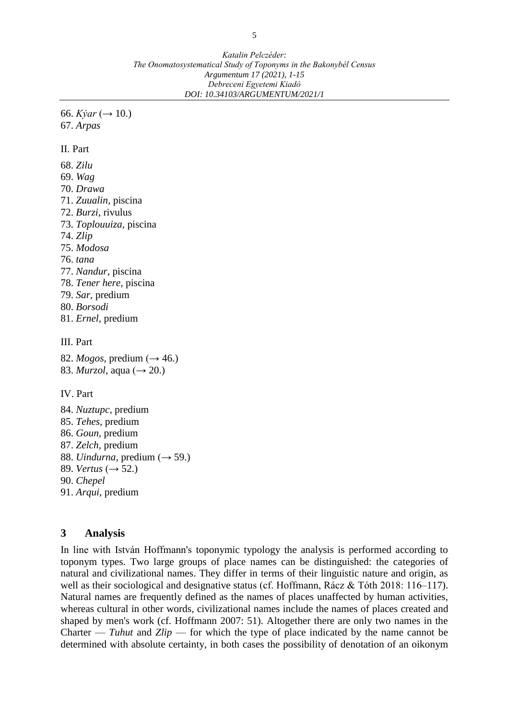66. *Kyar*  $(\to 10)$ . 67. *Arpas* 

II. Part

68. *Zilu* 69. *Wag* 70. *Drawa* 71. *Zuualin,* piscina 72. *Burzi,* rivulus 73. *Toplouuiza,* piscina 74. *Zlip* 75. *Modosa* 76. *tana* 77. *Nandur,* piscina 78. *Tener here,* piscina 79. *Sar,* predium 80. *Borsodi* 81. *Ernel,* predium III. Part 82. *Mogos*, predium ( $\rightarrow$  46.) 83. *Murzol*, aqua (→ 20.)

IV. Part

84. *Nuztupc,* predium 85. *Tehes,* predium 86. *Goun,* predium 87. *Zelch,* predium 88. *Uindurna*, predium (→ 59.) 89. *Vertus*  $(\rightarrow 52.)$ 90. *Chepel* 91. *Arqui,* predium

#### **3 Analysis**

In line with István Hoffmann's toponymic typology the analysis is performed according to toponym types. Two large groups of place names can be distinguished: the categories of natural and civilizational names. They differ in terms of their linguistic nature and origin, as well as their sociological and designative status (cf. Hoffmann, Rácz & Tóth 2018: 116–117). Natural names are frequently defined as the names of places unaffected by human activities, whereas cultural in other words, civilizational names include the names of places created and shaped by men's work (cf. Hoffmann 2007: 51). Altogether there are only two names in the Charter — *Tuhut* and *Zlip* — for which the type of place indicated by the name cannot be determined with absolute certainty, in both cases the possibility of denotation of an oikonym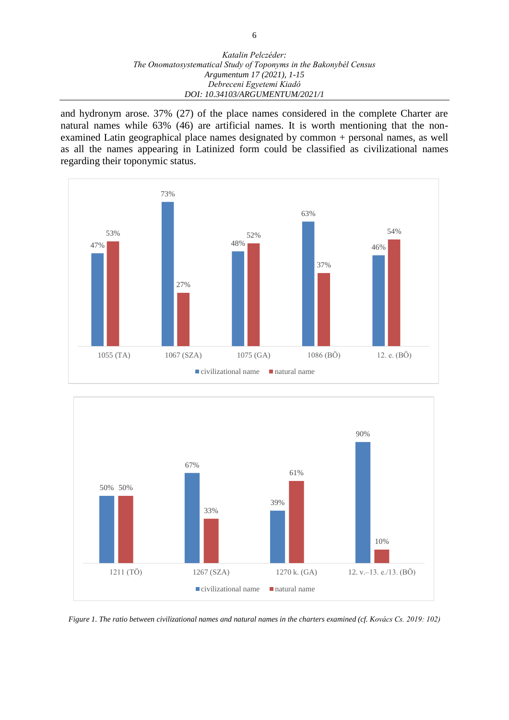#### *Katalin Pelczéder: The Onomatosystematical Study of Toponyms in the Bakonybél Census Argumentum 17 (2021), 1-15 Debreceni Egyetemi Kiadó DOI: 10.34103/ARGUMENTUM/2021/1*

and hydronym arose. 37% (27) of the place names considered in the complete Charter are natural names while 63% (46) are artificial names. It is worth mentioning that the nonexamined Latin geographical place names designated by common + personal names, as well as all the names appearing in Latinized form could be classified as civilizational names regarding their toponymic status.





*Figure 1. The ratio between civilizational names and natural names in the charters examined (cf. Kovács Cs. 2019: 102)*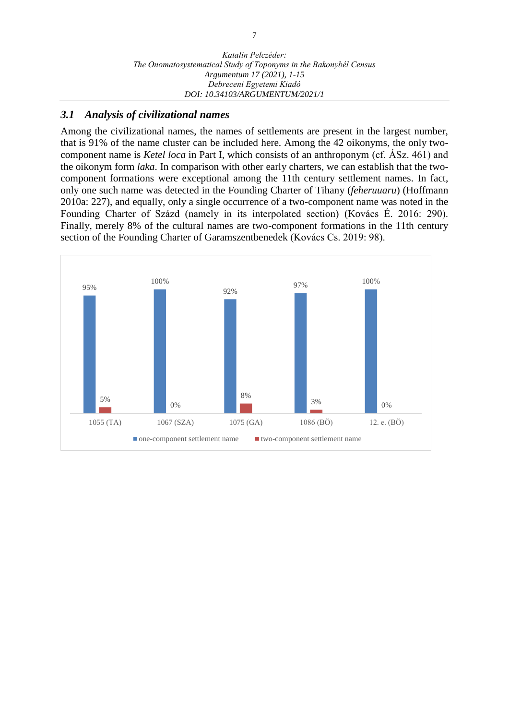## *3.1 Analysis of civilizational names*

Among the civilizational names, the names of settlements are present in the largest number, that is 91% of the name cluster can be included here. Among the 42 oikonyms, the only twocomponent name is *Ketel loca* in Part I, which consists of an anthroponym (cf. ÁSz. 461) and the oikonym form *laka*. In comparison with other early charters, we can establish that the twocomponent formations were exceptional among the 11th century settlement names. In fact, only one such name was detected in the Founding Charter of Tihany (*feheruuaru*) (Hoffmann 2010a: 227), and equally, only a single occurrence of a two-component name was noted in the Founding Charter of Százd (namely in its interpolated section) (Kovács É. 2016: 290). Finally, merely 8% of the cultural names are two-component formations in the 11th century section of the Founding Charter of Garamszentbenedek (Kovács Cs. 2019: 98).

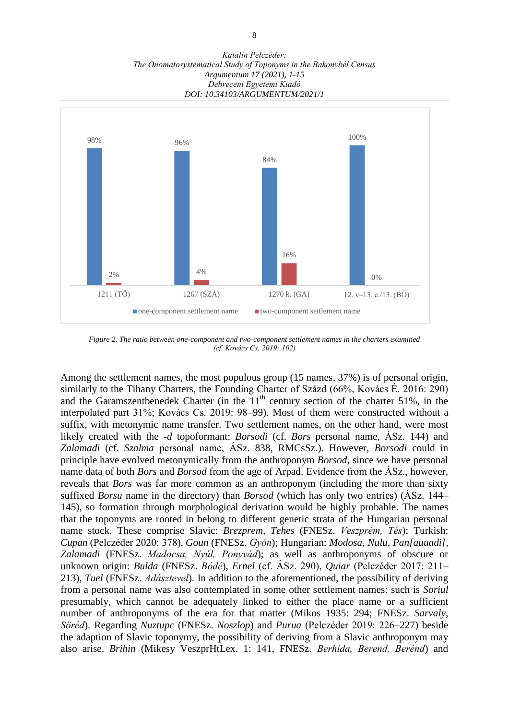*Katalin Pelczéder: The Onomatosystematical Study of Toponyms in the Bakonybél Census Argumentum 17 (2021), 1-15 Debreceni Egyetemi Kiadó DOI: 10.34103/ARGUMENTUM/2021/1*



*Figure 2. The ratio between one-component and two-component settlement names in the charters examined (cf. Kovács Cs. 2019: 102)*

Among the settlement names, the most populous group (15 names, 37%) is of personal origin, similarly to the Tihany Charters, the Founding Charter of Százd (66%, Kovács É. 2016: 290) and the Garamszentbenedek Charter (in the  $11<sup>th</sup>$  century section of the charter 51%, in the interpolated part 31%; Kovács Cs. 2019: 98–99). Most of them were constructed without a suffix, with metonymic name transfer. Two settlement names, on the other hand, were most likely created with the *-d* topoformant: *Borsodi* (cf. *Bors* personal name, ÁSz. 144) and *Zalamadi* (cf. *Szalma* personal name, ÁSz. 838, RMCsSz.). However, *Borsodi* could in principle have evolved metonymically from the anthroponym *Borsod*, since we have personal name data of both *Bors* and *Borsod* from the age of Arpad. Evidence from the ÁSz., however, reveals that *Bors* was far more common as an anthroponym (including the more than sixty suffixed *Borsu* name in the directory) than *Borsod* (which has only two entries) (ÁSz. 144– 145), so formation through morphological derivation would be highly probable. The names that the toponyms are rooted in belong to different genetic strata of the Hungarian personal name stock. These comprise Slavic: *Brezprem, Tehes* (FNESz. *Veszprém, Tés*); Turkish: *Cupan* (Pelczéder 2020: 378), *Goun* (FNESz. *Gyón*); Hungarian: *Modosa, Nulu, Pan[auuadi], Zalamadi* (FNESz. *Madocsa, Nyúl, Ponyvád*); as well as anthroponyms of obscure or unknown origin: *Bulda* (FNESz. *Bódé*), *Ernel* (cf. ÁSz. 290), *Quiar* (Pelczéder 2017: 211– 213), *Tuel* (FNESz. *Adásztevel*). In addition to the aforementioned, the possibility of deriving from a personal name was also contemplated in some other settlement names: such is *Soriul* presumably, which cannot be adequately linked to either the place name or a sufficient number of anthroponyms of the era for that matter (Mikos 1935: 294; FNESz. *Sarvaly, Söréd*). Regarding *Nuztupc* (FNESz. *Noszlop*) and *Purua* (Pelczéder 2019: 226–227) beside the adaption of Slavic toponymy, the possibility of deriving from a Slavic anthroponym may also arise. *Brihin* (Mikesy VeszprHtLex. 1: 141, FNESz. *Berhida, Berend, Berénd*) and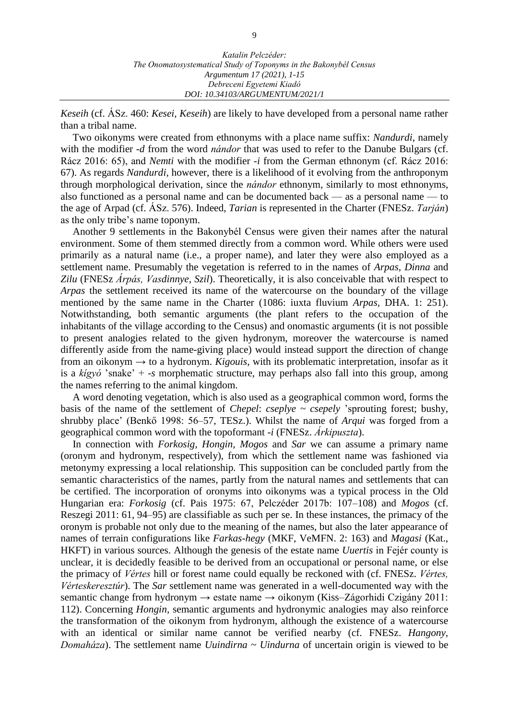*Keseih* (cf. ÁSz. 460: *Kesei, Keseih*) are likely to have developed from a personal name rather than a tribal name.

Two oikonyms were created from ethnonyms with a place name suffix: *Nandurdi*, namely with the modifier *-d* from the word *nándor* that was used to refer to the Danube Bulgars (cf. Rácz 2016: 65), and *Nemti* with the modifier *-i* from the German ethnonym (cf. Rácz 2016: 67). As regards *Nandurdi,* however, there is a likelihood of it evolving from the anthroponym through morphological derivation, since the *nándor* ethnonym, similarly to most ethnonyms, also functioned as a personal name and can be documented back — as a personal name — to the age of Arpad (cf. ÁSz. 576). Indeed, *Tarian* is represented in the Charter (FNESz. *Tarján*) as the only tribe's name toponym.

Another 9 settlements in the Bakonybél Census were given their names after the natural environment. Some of them stemmed directly from a common word. While others were used primarily as a natural name (i.e., a proper name), and later they were also employed as a settlement name. Presumably the vegetation is referred to in the names of *Arpas, Dinna* and *Zilu* (FNESz *Árpás, Vasdinnye, Szil*). Theoretically, it is also conceivable that with respect to *Arpas* the settlement received its name of the watercourse on the boundary of the village mentioned by the same name in the Charter (1086: iuxta fluvium *Arpas,* DHA. 1: 251). Notwithstanding, both semantic arguments (the plant refers to the occupation of the inhabitants of the village according to the Census) and onomastic arguments (it is not possible to present analogies related to the given hydronym, moreover the watercourse is named differently aside from the name-giving place) would instead support the direction of change from an oikonym → to a hydronym. *Kigouis*, with its problematic interpretation, insofar as it is a *kígyó* 'snake' + *-s* morphematic structure, may perhaps also fall into this group, among the names referring to the animal kingdom.

A word denoting vegetation, which is also used as a geographical common word, forms the basis of the name of the settlement of *Chepel*: *cseplye ~ csepely* 'sprouting forest; bushy, shrubby place' (Benkő 1998: 56–57, TESz.). Whilst the name of *Arqui* was forged from a geographical common word with the topoformant -*i* (FNESz. *Árkipuszta*).

In connection with *Forkosig, Hongin, Mogos* and *Sar* we can assume a primary name (oronym and hydronym, respectively), from which the settlement name was fashioned via metonymy expressing a local relationship*.* This supposition can be concluded partly from the semantic characteristics of the names, partly from the natural names and settlements that can be certified. The incorporation of oronyms into oikonyms was a typical process in the Old Hungarian era: *Forkosig* (cf. Pais 1975: 67, Pelczéder 2017b: 107–108) and *Mogos* (cf. Reszegi 2011: 61, 94–95) are classifiable as such per se. In these instances, the primacy of the oronym is probable not only due to the meaning of the names, but also the later appearance of names of terrain configurations like *Farkas-hegy* (MKF, VeMFN. 2: 163) and *Magasi* (Kat., HKFT) in various sources. Although the genesis of the estate name *Uuertis* in Fejér county is unclear, it is decidedly feasible to be derived from an occupational or personal name, or else the primacy of *Vértes* hill or forest name could equally be reckoned with (cf. FNESz. *Vértes, Vérteskeresztúr*). The *Sar* settlement name was generated in a well-documented way with the semantic change from hydronym → estate name → oikonym (Kiss–Zágorhidi Czigány 2011: 112). Concerning *Hongin,* semantic arguments and hydronymic analogies may also reinforce the transformation of the oikonym from hydronym, although the existence of a watercourse with an identical or similar name cannot be verified nearby (cf. FNESz. *Hangony, Domaháza*). The settlement name *Uuindirna ~ Uindurna* of uncertain origin is viewed to be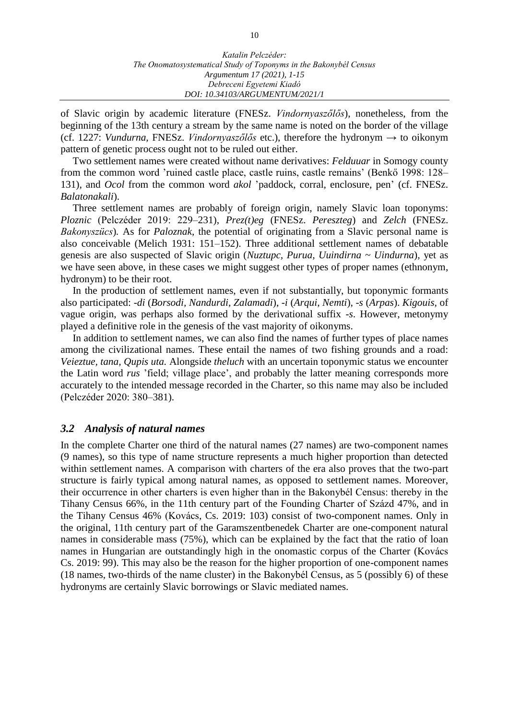of Slavic origin by academic literature (FNESz. *Vindornyaszőlős*), nonetheless, from the beginning of the 13th century a stream by the same name is noted on the border of the village (cf. 1227: *Vundurna,* FNESz. *Vindornyaszőlős* etc.), therefore the hydronym → to oikonym pattern of genetic process ought not to be ruled out either.

Two settlement names were created without name derivatives: *Felduuar* in Somogy county from the common word 'ruined castle place, castle ruins, castle remains' (Benkő 1998: 128– 131), and *Ocol* from the common word *akol* 'paddock, corral, enclosure, pen' (cf. FNESz. *Balatonakali*).

Three settlement names are probably of foreign origin, namely Slavic loan toponyms: *Ploznic* (Pelczéder 2019: 229–231), *Prez(t)eg* (FNESz. *Pereszteg*) and *Zelch* (FNESz. *Bakonyszücs*)*.* As for *Paloznak*, the potential of originating from a Slavic personal name is also conceivable (Melich 1931: 151–152). Three additional settlement names of debatable genesis are also suspected of Slavic origin (*Nuztupc, Purua, Uuindirna ~ Uindurna*), yet as we have seen above, in these cases we might suggest other types of proper names (ethnonym, hydronym) to be their root.

In the production of settlement names, even if not substantially, but toponymic formants also participated: *-di* (*Borsodi, Nandurdi, Zalamadi*), *-i* (*Arqui, Nemti*), *-s* (*Arpas*). *Kigouis*, of vague origin, was perhaps also formed by the derivational suffix *-s*. However, metonymy played a definitive role in the genesis of the vast majority of oikonyms.

In addition to settlement names, we can also find the names of further types of place names among the civilizational names. These entail the names of two fishing grounds and a road: *Veieztue, tana, Qupis uta.* Alongside *theluch* with an uncertain toponymic status we encounter the Latin word *rus* 'field; village place', and probably the latter meaning corresponds more accurately to the intended message recorded in the Charter, so this name may also be included (Pelczéder 2020: 380–381).

#### *3.2 Analysis of natural names*

In the complete Charter one third of the natural names (27 names) are two-component names (9 names), so this type of name structure represents a much higher proportion than detected within settlement names. A comparison with charters of the era also proves that the two-part structure is fairly typical among natural names, as opposed to settlement names. Moreover, their occurrence in other charters is even higher than in the Bakonybél Census: thereby in the Tihany Census 66%, in the 11th century part of the Founding Charter of Százd 47%, and in the Tihany Census 46% (Kovács, Cs. 2019: 103) consist of two-component names. Only in the original, 11th century part of the Garamszentbenedek Charter are one-component natural names in considerable mass (75%), which can be explained by the fact that the ratio of loan names in Hungarian are outstandingly high in the onomastic corpus of the Charter (Kovács Cs. 2019: 99). This may also be the reason for the higher proportion of one-component names (18 names, two-thirds of the name cluster) in the Bakonybél Census, as 5 (possibly 6) of these hydronyms are certainly Slavic borrowings or Slavic mediated names.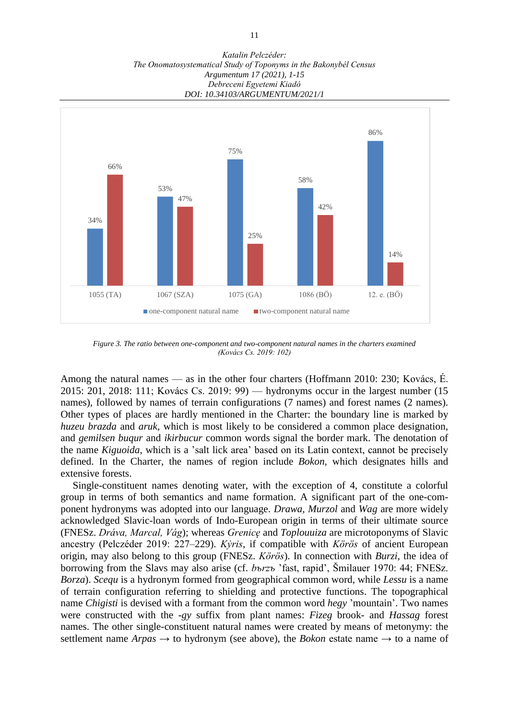*Katalin Pelczéder: The Onomatosystematical Study of Toponyms in the Bakonybél Census Argumentum 17 (2021), 1-15 Debreceni Egyetemi Kiadó DOI: 10.34103/ARGUMENTUM/2021/1*



*Figure 3. The ratio between one-component and two-component natural names in the charters examined (Kovács Cs. 2019: 102)*

Among the natural names — as in the other four charters (Hoffmann 2010: 230; Kovács, É. 2015: 201, 2018: 111; Kovács Cs. 2019: 99) — hydronyms occur in the largest number (15 names), followed by names of terrain configurations (7 names) and forest names (2 names). Other types of places are hardly mentioned in the Charter: the boundary line is marked by *huzeu brazda* and *aruk,* which is most likely to be considered a common place designation, and *gemilsen buqur* and *ikirbucur* common words signal the border mark. The denotation of the name *Kiguoida*, which is a 'salt lick area' based on its Latin context, cannot be precisely defined. In the Charter, the names of region include *Bokon,* which designates hills and extensive forests.

Single-constituent names denoting water, with the exception of 4, constitute a colorful group in terms of both semantics and name formation. A significant part of the one-component hydronyms was adopted into our language. *Drawa, Murzol* and *Wag* are more widely acknowledged Slavic-loan words of Indo-European origin in terms of their ultimate source (FNESz. *Dráva, Marcal, Vág*); whereas *Grenicę* and *Toplouuiza* are microtoponyms of Slavic ancestry (Pelczéder 2019: 227–229). *Kẏris,* if compatible with *Körös* of ancient European origin, may also belong to this group (FNESz. *Körös*). In connection with *Burzi,* the idea of borrowing from the Slavs may also arise (cf. *bъrzъ* 'fast, rapid', Šmilauer 1970: 44; FNESz. *Borza*). *Scequ* is a hydronym formed from geographical common word, while *Lessu* is a name of terrain configuration referring to shielding and protective functions. The topographical name *Chigisti* is devised with a formant from the common word *hegy* 'mountain'. Two names were constructed with the *-gy* suffix from plant names: *Fizeg* brook- and *Hassag* forest names. The other single-constituent natural names were created by means of metonymy: the settlement name  $Arpas \rightarrow$  to hydronym (see above), the *Bokon* estate name  $\rightarrow$  to a name of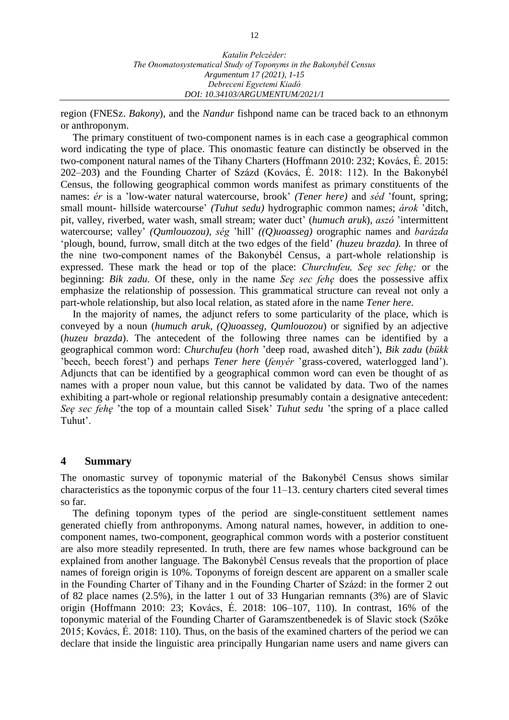region (FNESz. *Bakony*), and the *Nandur* fishpond name can be traced back to an ethnonym or anthroponym.

The primary constituent of two-component names is in each case a geographical common word indicating the type of place. This onomastic feature can distinctly be observed in the two-component natural names of the Tihany Charters (Hoffmann 2010: 232; Kovács, É. 2015: 202–203) and the Founding Charter of Százd (Kovács, É. 2018: 112). In the Bakonybél Census, the following geographical common words manifest as primary constituents of the names: *ér* is a 'low-water natural watercourse, brook' *(Tener here)* and *séd* 'fount, spring; small mount- hillside watercourse' *(Tuhut sedu)* hydrographic common names; *árok* 'ditch, pit, valley, riverbed, water wash, small stream; water duct' (*humuch aruk*), *aszó* 'intermittent watercourse; valley' *(Qumlouozou), ség* 'hill' *((Q)uoasseg)* orographic names and *barázda*  'plough, bound, furrow, small ditch at the two edges of the field' *(huzeu brazda).* In three of the nine two-component names of the Bakonybél Census, a part-whole relationship is expressed. These mark the head or top of the place: *Churchufeu, Seę sec fehę;* or the beginning: *Bik zadu.* Of these, only in the name *Seę sec fehę* does the possessive affix emphasize the relationship of possession. This grammatical structure can reveal not only a part-whole relationship, but also local relation, as stated afore in the name *Tener here*.

In the majority of names, the adjunct refers to some particularity of the place, which is conveyed by a noun (*humuch aruk, (Q)uoasseg, Qumlouozou*) or signified by an adjective (*huzeu brazda*). The antecedent of the following three names can be identified by a geographical common word: *Churchufeu* (*horh* 'deep road, awashed ditch'), *Bik zadu* (*bükk* 'beech, beech forest') and perhaps *Tener here* (*fenyér* 'grass-covered, waterlogged land'). Adjuncts that can be identified by a geographical common word can even be thought of as names with a proper noun value, but this cannot be validated by data. Two of the names exhibiting a part-whole or regional relationship presumably contain a designative antecedent: *Seę sec fehę* 'the top of a mountain called Sisek' *Tuhut sedu* 'the spring of a place called Tuhut'.

#### **4 Summary**

The onomastic survey of toponymic material of the Bakonybél Census shows similar characteristics as the toponymic corpus of the four 11–13. century charters cited several times so far.

The defining toponym types of the period are single-constituent settlement names generated chiefly from anthroponyms. Among natural names, however, in addition to onecomponent names, two-component, geographical common words with a posterior constituent are also more steadily represented. In truth, there are few names whose background can be explained from another language. The Bakonybél Census reveals that the proportion of place names of foreign origin is 10%. Toponyms of foreign descent are apparent on a smaller scale in the Founding Charter of Tihany and in the Founding Charter of Százd: in the former 2 out of 82 place names (2.5%), in the latter 1 out of 33 Hungarian remnants (3%) are of Slavic origin (Hoffmann 2010: 23; Kovács, É. 2018: 106–107, 110). In contrast, 16% of the toponymic material of the Founding Charter of Garamszentbenedek is of Slavic stock (Szőke 2015; Kovács, É. 2018: 110). Thus, on the basis of the examined charters of the period we can declare that inside the linguistic area principally Hungarian name users and name givers can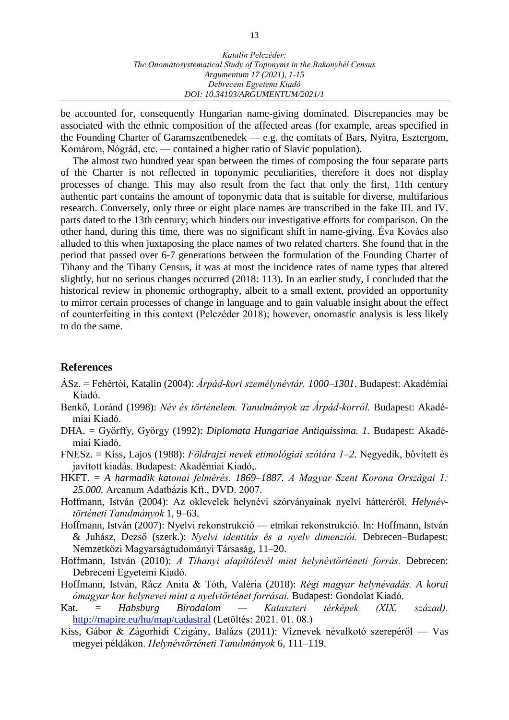be accounted for, consequently Hungarian name-giving dominated. Discrepancies may be associated with the ethnic composition of the affected areas (for example, areas specified in the Founding Charter of Garamszentbenedek — e.g. the comitats of Bars, Nyitra, Esztergom, Komárom, Nógrád, etc. — contained a higher ratio of Slavic population).

The almost two hundred year span between the times of composing the four separate parts of the Charter is not reflected in toponymic peculiarities, therefore it does not display processes of change. This may also result from the fact that only the first, 11th century authentic part contains the amount of toponymic data that is suitable for diverse, multifarious research. Conversely, only three or eight place names are transcribed in the fake III. and IV. parts dated to the 13th century; which hinders our investigative efforts for comparison. On the other hand, during this time, there was no significant shift in name-giving. Éva Kovács also alluded to this when juxtaposing the place names of two related charters. She found that in the period that passed over 6-7 generations between the formulation of the Founding Charter of Tihany and the Tihany Census, it was at most the incidence rates of name types that altered slightly, but no serious changes occurred (2018: 113). In an earlier study, I concluded that the historical review in phonemic orthography, albeit to a small extent, provided an opportunity to mirror certain processes of change in language and to gain valuable insight about the effect of counterfeiting in this context (Pelczéder 2018); however, onomastic analysis is less likely to do the same.

## **References**

- ÁSz. = Fehértói, Katalin (2004): *Árpád-kori személynévtár. 1000–1301*. Budapest: Akadémiai Kiadó.
- Benkő, Loránd (1998): *Név és történelem. Tanulmányok az Árpád-korról.* Budapest: Akadémiai Kiadó.
- DHA. = Györffy, György (1992): *Diplomata Hungariae Antiquissima. 1.* Budapest: Akadémiai Kiadó.
- FNESz. = Kiss, Lajos (1988): *Földrajzi nevek etimológiai szótára 1–2.* Negyedik, bővített és javított kiadás. Budapest: Akadémiai Kiadó,.
- HKFT. = *A harmadik katonai felmérés. 1869–1887. A Magyar Szent Korona Országai 1: 25.000.* Arcanum Adatbázis Kft., DVD. 2007.
- Hoffmann, István (2004): Az oklevelek helynévi szórványainak nyelvi hátteréről. *Helynévtörténeti Tanulmányok* 1, 9–63.
- Hoffmann, István (2007): Nyelvi rekonstrukció etnikai rekonstrukció. In: Hoffmann, István & Juhász, Dezső (szerk.): *Nyelvi identitás és a nyelv dimenziói.* Debrecen–Budapest: Nemzetközi Magyarságtudományi Társaság, 11–20.
- Hoffmann, István (2010): *A Tihanyi alapítólevél mint helynévtörténeti forrás.* Debrecen: Debreceni Egyetemi Kiadó.
- Hoffmann, István, Rácz Anita & Tóth, Valéria (2018): *Régi magyar helynévadás. A korai ómagyar kor helynevei mint a nyelvtörténet forrásai.* Budapest: Gondolat Kiadó.
- Kat. = *Habsburg Birodalom — Kataszteri térképek (XIX. század).*  <http://mapire.eu/hu/map/cadastral> (Letöltés: 2021. 01. 08.)
- Kiss, Gábor & Zágorhidi Czigány, Balázs (2011): Víznevek névalkotó szerepéről Vas megyei példákon. *Helynévtörténeti Tanulmányok* 6, 111–119.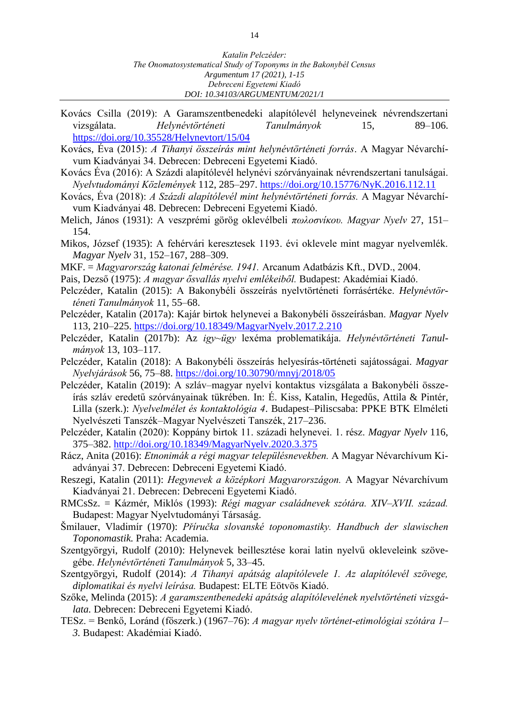- Kovács Csilla (2019): A Garamszentbenedeki alapítólevél helyneveinek névrendszertani vizsgálata. *Helynévtörténeti Tanulmányok* 15, 89–106. <https://doi.org/10.35528/Helynevtort/15/04>
- Kovács, Éva (2015): *A Tihanyi összeírás mint helynévtörténeti forrás*. A Magyar Névarchívum Kiadványai 34. Debrecen: Debreceni Egyetemi Kiadó.
- Kovács Éva (2016): A Százdi alapítólevél helynévi szórványainak névrendszertani tanulságai. *Nyelvtudományi Közlemények* 112, 285–297. <https://doi.org/10.15776/NyK.2016.112.11>
- Kovács, Éva (2018): *A Százdi alapítólevél mint helynévtörténeti forrás.* A Magyar Névarchívum Kiadványai 48. Debrecen: Debreceni Egyetemi Kiadó.
- Melich, János (1931): A veszprémi görög oklevélbeli *πωλοσνίκου. Magyar Nyelv* 27, 151– 154.
- Mikos, József (1935): A fehérvári keresztesek 1193. évi oklevele mint magyar nyelvemlék. *Magyar Nyelv* 31, 152–167, 288–309.
- MKF. = *Magyarország katonai felmérése. 1941.* Arcanum Adatbázis Kft., DVD., 2004.

Pais, Dezső (1975): *A magyar ősvallás nyelvi emlékeiből.* Budapest: Akadémiai Kiadó.

- Pelczéder, Katalin (2015): A Bakonybéli összeírás nyelvtörténeti forrásértéke. *Helynévtörténeti Tanulmányok* 11, 55–68.
- Pelczéder, Katalin (2017a): Kajár birtok helynevei a Bakonybéli összeírásban. *Magyar Nyelv*  113, 210–225.<https://doi.org/10.18349/MagyarNyelv.2017.2.210>
- Pelczéder, Katalin (2017b): Az *igy~ügy* lexéma problematikája. *Helynévtörténeti Tanulmányok* 13, 103–117.
- Pelczéder, Katalin (2018): A Bakonybéli összeírás helyesírás-történeti sajátosságai. *Magyar Nyelvjárások* 56, 75–88. <https://doi.org/10.30790/mnyj/2018/05>
- Pelczéder, Katalin (2019): A szláv–magyar nyelvi kontaktus vizsgálata a Bakonybéli összeírás szláv eredetű szórványainak tükrében. In: É. Kiss, Katalin, Hegedűs, Attila & Pintér, Lilla (szerk.): *Nyelvelmélet és kontaktológia 4*. Budapest–Piliscsaba: PPKE BTK Elméleti Nyelvészeti Tanszék–Magyar Nyelvészeti Tanszék, 217–236.
- Pelczéder, Katalin (2020): Koppány birtok 11. századi helynevei. 1. rész. *Magyar Nyelv* 116, 375–382.<http://doi.org/10.18349/MagyarNyelv.2020.3.375>
- Rácz, Anita (2016): *Etnonimák a régi magyar településnevekben.* A Magyar Névarchívum Kiadványai 37. Debrecen: Debreceni Egyetemi Kiadó.
- Reszegi, Katalin (2011): *Hegynevek a középkori Magyarországon.* A Magyar Névarchívum Kiadványai 21. Debrecen: Debreceni Egyetemi Kiadó.
- RMCsSz. = Kázmér, Miklós (1993): *Régi magyar családnevek szótára. XIV–XVII. század.* Budapest: Magyar Nyelvtudományi Társaság.
- Šmilauer, Vladimír (1970): *Příručka slovanské toponomastiky. Handbuch der slawischen Toponomastik.* Praha: Academia.
- Szentgyörgyi, Rudolf (2010): Helynevek beillesztése korai latin nyelvű okleveleink szövegébe. *Helynévtörténeti Tanulmányok* 5, 33–45.
- Szentgyörgyi, Rudolf (2014): *A Tihanyi apátság alapítólevele 1. Az alapítólevél szövege, diplomatikai és nyelvi leírása.* Budapest: ELTE Eötvös Kiadó.
- Szőke, Melinda (2015): *A garamszentbenedeki apátság alapítólevelének nyelvtörténeti vizsgálata.* Debrecen: Debreceni Egyetemi Kiadó.
- TESz. = Benkő, Loránd (főszerk.) (1967–76): *A magyar nyelv történet-etimológiai szótára 1– 3.* Budapest: Akadémiai Kiadó.